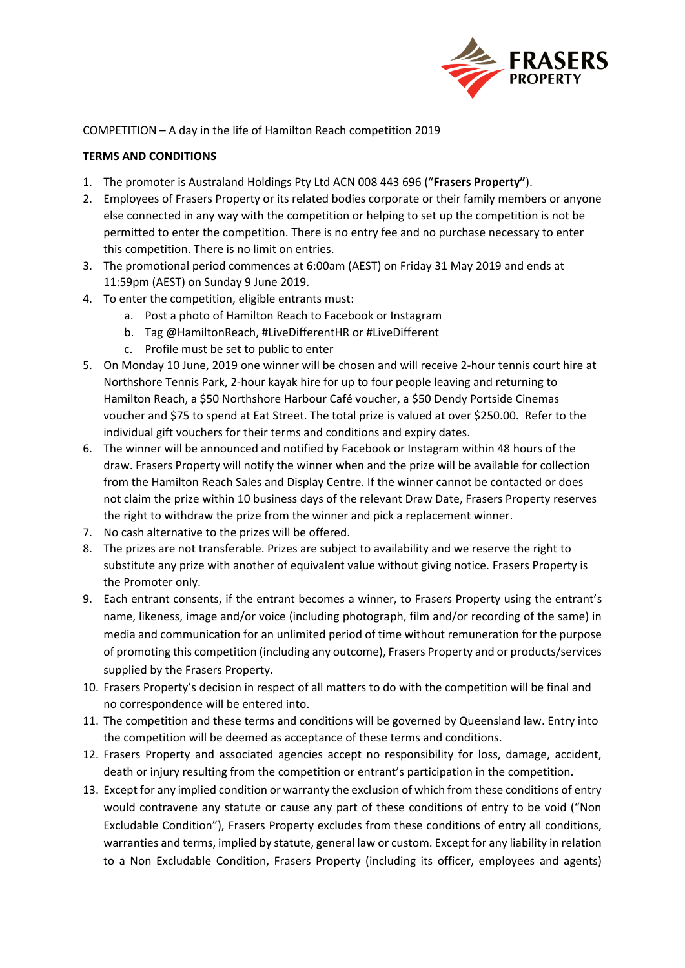

COMPETITION – A day in the life of Hamilton Reach competition 2019

## **TERMS AND CONDITIONS**

- 1. The promoter is Australand Holdings Pty Ltd ACN 008 443 696 ("**Frasers Property"**).
- 2. Employees of Frasers Property or its related bodies corporate or their family members or anyone else connected in any way with the competition or helping to set up the competition is not be permitted to enter the competition. There is no entry fee and no purchase necessary to enter this competition. There is no limit on entries.
- 3. The promotional period commences at 6:00am (AEST) on Friday 31 May 2019 and ends at 11:59pm (AEST) on Sunday 9 June 2019.
- 4. To enter the competition, eligible entrants must:
	- a. Post a photo of Hamilton Reach to Facebook or Instagram
	- b. Tag @HamiltonReach, #LiveDifferentHR or #LiveDifferent
	- c. Profile must be set to public to enter
- 5. On Monday 10 June, 2019 one winner will be chosen and will receive 2-hour tennis court hire at Northshore Tennis Park, 2-hour kayak hire for up to four people leaving and returning to Hamilton Reach, a \$50 Northshore Harbour Café voucher, a \$50 Dendy Portside Cinemas voucher and \$75 to spend at Eat Street. The total prize is valued at over \$250.00. Refer to the individual gift vouchers for their terms and conditions and expiry dates.
- 6. The winner will be announced and notified by Facebook or Instagram within 48 hours of the draw. Frasers Property will notify the winner when and the prize will be available for collection from the Hamilton Reach Sales and Display Centre. If the winner cannot be contacted or does not claim the prize within 10 business days of the relevant Draw Date, Frasers Property reserves the right to withdraw the prize from the winner and pick a replacement winner.
- 7. No cash alternative to the prizes will be offered.
- 8. The prizes are not transferable. Prizes are subject to availability and we reserve the right to substitute any prize with another of equivalent value without giving notice. Frasers Property is the Promoter only.
- 9. Each entrant consents, if the entrant becomes a winner, to Frasers Property using the entrant's name, likeness, image and/or voice (including photograph, film and/or recording of the same) in media and communication for an unlimited period of time without remuneration for the purpose of promoting this competition (including any outcome), Frasers Property and or products/services supplied by the Frasers Property.
- 10. Frasers Property's decision in respect of all matters to do with the competition will be final and no correspondence will be entered into.
- 11. The competition and these terms and conditions will be governed by Queensland law. Entry into the competition will be deemed as acceptance of these terms and conditions.
- 12. Frasers Property and associated agencies accept no responsibility for loss, damage, accident, death or injury resulting from the competition or entrant's participation in the competition.
- 13. Except for any implied condition or warranty the exclusion of which from these conditions of entry would contravene any statute or cause any part of these conditions of entry to be void ("Non Excludable Condition"), Frasers Property excludes from these conditions of entry all conditions, warranties and terms, implied by statute, general law or custom. Except for any liability in relation to a Non Excludable Condition, Frasers Property (including its officer, employees and agents)